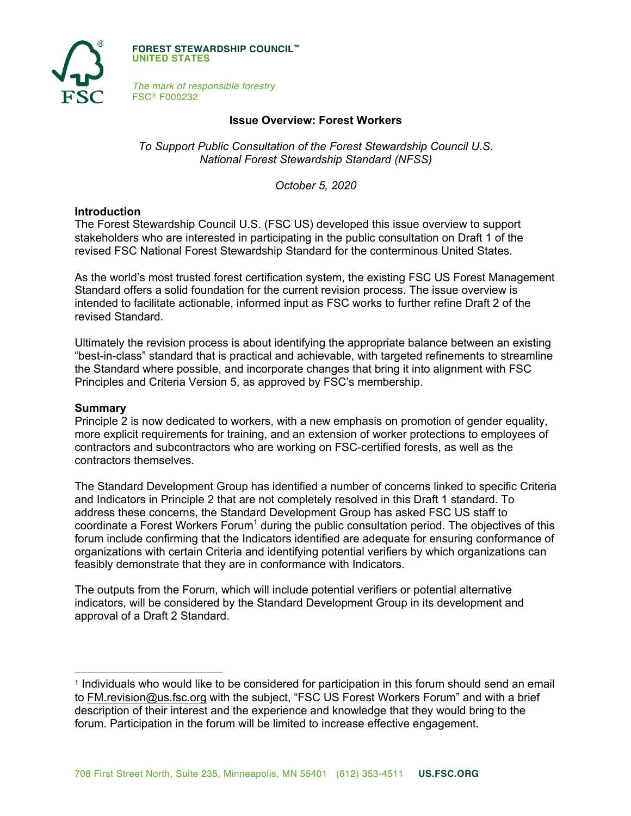

**FOREST STEWARDSHIP COUNCIL™ UNITED STATES**

*The mark of responsible forestry* FSC® F000232

## **Issue Overview: Forest Workers**

*To Support Public Consultation of the Forest Stewardship Council U.S. National Forest Stewardship Standard (NFSS)*

*October 5, 2020*

### **Introduction**

The Forest Stewardship Council U.S. (FSC US) developed this issue overview to support stakeholders who are interested in participating in the public consultation on Draft 1 of the revised FSC National Forest Stewardship Standard for the conterminous United States.

As the world's most trusted forest certification system, the existing FSC US Forest Management Standard offers a solid foundation for the current revision process. The issue overview is intended to facilitate actionable, informed input as FSC works to further refine Draft 2 of the revised Standard.

Ultimately the revision process is about identifying the appropriate balance between an existing "best-in-class" standard that is practical and achievable, with targeted refinements to streamline the Standard where possible, and incorporate changes that bring it into alignment with FSC Principles and Criteria Version 5, as approved by FSC's membership.

#### **Summary**

Principle 2 is now dedicated to workers, with a new emphasis on promotion of gender equality, more explicit requirements for training, and an extension of worker protections to employees of contractors and subcontractors who are working on FSC-certified forests, as well as the contractors themselves.

The Standard Development Group has identified a number of concerns linked to specific Criteria and Indicators in Principle 2 that are not completely resolved in this Draft 1 standard. To address these concerns, the Standard Development Group has asked FSC US staff to coordinate a Forest Workers Forum<sup>1</sup> during the public consultation period. The objectives of this forum include confirming that the Indicators identified are adequate for ensuring conformance of organizations with certain Criteria and identifying potential verifiers by which organizations can feasibly demonstrate that they are in conformance with Indicators.

The outputs from the Forum, which will include potential verifiers or potential alternative indicators, will be considered by the Standard Development Group in its development and approval of a Draft 2 Standard.

<sup>1</sup> Individuals who would like to be considered for participation in this forum should send an email to FM.revision@us.fsc.org with the subject, "FSC US Forest Workers Forum" and with a brief description of their interest and the experience and knowledge that they would bring to the forum. Participation in the forum will be limited to increase effective engagement.